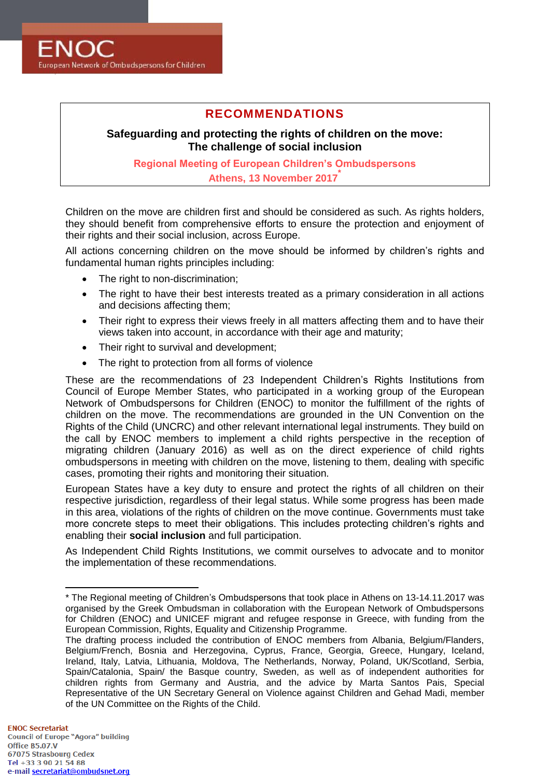

# **RECOMMENDATIONS**

**Safeguarding and protecting the rights of children on the move: The challenge of social inclusion**

**Regional Meeting of European Children's Ombudspersons Athens, 13 November 2017\***

Children on the move are children first and should be considered as such. As rights holders, they should benefit from comprehensive efforts to ensure the protection and enjoyment of their rights and their social inclusion, across Europe.

All actions concerning children on the move should be informed by children's rights and fundamental human rights principles including:

- The right to non-discrimination:
- The right to have their best interests treated as a primary consideration in all actions and decisions affecting them;
- Their right to express their views freely in all matters affecting them and to have their views taken into account, in accordance with their age and maturity;
- Their right to survival and development;
- The right to protection from all forms of violence

These are the recommendations of 23 Independent Children's Rights Institutions from Council of Europe Member States, who participated in a working group of the European Network of Ombudspersons for Children (ENOC) to monitor the fulfillment of the rights of children on the move. The recommendations are grounded in the UN Convention on the Rights of the Child (UNCRC) and other relevant international legal instruments. They build on the call by ENOC members to implement a child rights perspective in the reception of migrating children (January 2016) as well as on the direct experience of child rights ombudspersons in meeting with children on the move, listening to them, dealing with specific cases, promoting their rights and monitoring their situation.

European States have a key duty to ensure and protect the rights of all children on their respective jurisdiction, regardless of their legal status. While some progress has been made in this area, violations of the rights of children on the move continue. Governments must take more concrete steps to meet their obligations. This includes protecting children's rights and enabling their **social inclusion** and full participation.

As Independent Child Rights Institutions, we commit ourselves to advocate and to monitor the implementation of these recommendations.

-

<sup>\*</sup> The Regional meeting of Children's Ombudspersons that took place in Athens on 13-14.11.2017 was organised by the Greek Ombudsman in collaboration with the European Network of Ombudspersons for Children (ENOC) and UNICEF migrant and refugee response in Greece, with funding from the European Commission, Rights, Equality and Citizenship Programme.

The drafting process included the contribution of ENOC members from Albania, Belgium/Flanders, Belgium/French, Bosnia and Herzegovina, Cyprus, France, Georgia, Greece, Hungary, Iceland, Ireland, Italy, Latvia, Lithuania, Moldova, The Netherlands, Norway, Poland, UK/Scotland, Serbia, Spain/Catalonia, Spain/ the Basque country, Sweden, as well as of independent authorities for children rights from Germany and Austria, and the advice by Marta Santos Pais, Special Representative of the UN Secretary General on Violence against Children and Gehad Madi, member of the UN Committee on the Rights of the Child.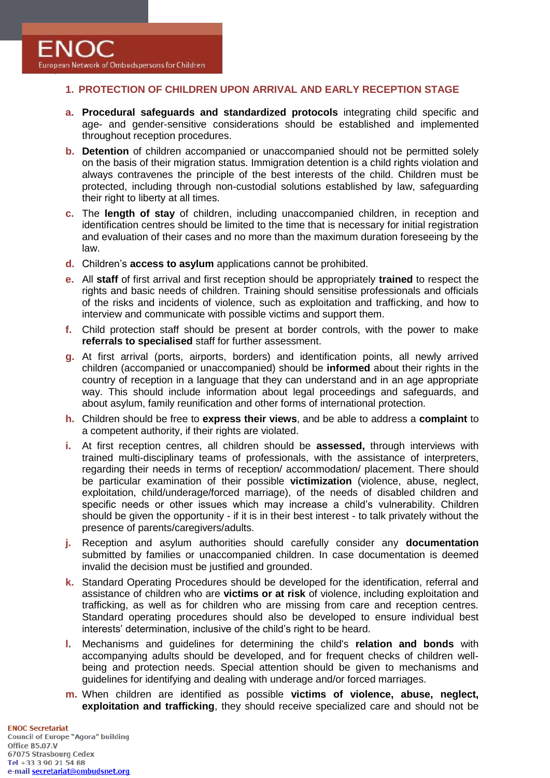# **1. PROTECTION OF CHILDREN UPON ARRIVAL AND EARLY RECEPTION STAGE**

- **a. Procedural safeguards and standardized protocols** integrating child specific and age- and gender-sensitive considerations should be established and implemented throughout reception procedures.
- **b. Detention** of children accompanied or unaccompanied should not be permitted solely on the basis of their migration status. Immigration detention is a child rights violation and always contravenes the principle of the best interests of the child. Children must be protected, including through non-custodial solutions established by law, safeguarding their right to liberty at all times.
- **c.** The **length of stay** of children, including unaccompanied children, in reception and identification centres should be limited to the time that is necessary for initial registration and evaluation of their cases and no more than the maximum duration foreseeing by the law.
- **d.** Children's **access to asylum** applications cannot be prohibited.
- **e.** All **staff** of first arrival and first reception should be appropriately **trained** to respect the rights and basic needs of children. Training should sensitise professionals and officials of the risks and incidents of violence, such as exploitation and trafficking, and how to interview and communicate with possible victims and support them.
- **f.** Child protection staff should be present at border controls, with the power to make **referrals to specialised** staff for further assessment.
- **g.** At first arrival (ports, airports, borders) and identification points, all newly arrived children (accompanied or unaccompanied) should be **informed** about their rights in the country of reception in a language that they can understand and in an age appropriate way. This should include information about legal proceedings and safeguards, and about asylum, family reunification and other forms of international protection.
- **h.** Children should be free to **express their views**, and be able to address a **complaint** to a competent authority, if their rights are violated.
- **i.** At first reception centres, all children should be **assessed,** through interviews with trained multi-disciplinary teams of professionals, with the assistance of interpreters, regarding their needs in terms of reception/ accommodation/ placement. There should be particular examination of their possible **victimization** (violence, abuse, neglect, exploitation, child/underage/forced marriage), of the needs of disabled children and specific needs or other issues which may increase a child's vulnerability. Children should be given the opportunity - if it is in their best interest - to talk privately without the presence of parents/caregivers/adults.
- **j.** Reception and asylum authorities should carefully consider any **documentation** submitted by families or unaccompanied children. In case documentation is deemed invalid the decision must be justified and grounded.
- **k.** Standard Operating Procedures should be developed for the identification, referral and assistance of children who are **victims or at risk** of violence, including exploitation and trafficking, as well as for children who are missing from care and reception centres. Standard operating procedures should also be developed to ensure individual best interests' determination, inclusive of the child's right to be heard.
- **l.** Mechanisms and guidelines for determining the child's **relation and bonds** with accompanying adults should be developed, and for frequent checks of children wellbeing and protection needs. Special attention should be given to mechanisms and guidelines for identifying and dealing with underage and/or forced marriages.
- **m.** When children are identified as possible **victims of violence, abuse, neglect, exploitation and trafficking**, they should receive specialized care and should not be

**FNOC Secretariat Council of Europe "Agora" building** Office B5.07.V 67075 Strasbourg Cedex Tel +33 3 90 21 54 88 e-mail secretariat@ombudsnet.org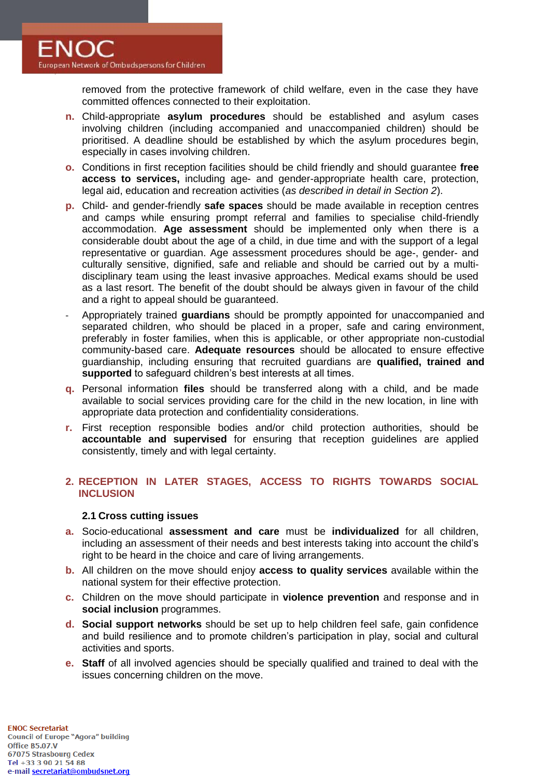removed from the protective framework of child welfare, even in the case they have committed offences connected to their exploitation.

- **n.** Child-appropriate **asylum procedures** should be established and asylum cases involving children (including accompanied and unaccompanied children) should be prioritised. A deadline should be established by which the asylum procedures begin, especially in cases involving children.
- **o.** Conditions in first reception facilities should be child friendly and should guarantee **free access to services,** including age- and gender-appropriate health care, protection, legal aid, education and recreation activities (*as described in detail in Section 2*).
- **p.** Child- and gender-friendly **safe spaces** should be made available in reception centres and camps while ensuring prompt referral and families to specialise child-friendly accommodation. **Age assessment** should be implemented only when there is a considerable doubt about the age of a child, in due time and with the support of a legal representative or guardian. Age assessment procedures should be age-, gender- and culturally sensitive, dignified, safe and reliable and should be carried out by a multidisciplinary team using the least invasive approaches. Medical exams should be used as a last resort. The benefit of the doubt should be always given in favour of the child and a right to appeal should be guaranteed.
- Appropriately trained **guardians** should be promptly appointed for unaccompanied and separated children, who should be placed in a proper, safe and caring environment, preferably in foster families, when this is applicable, or other appropriate non-custodial community-based care. **Adequate resources** should be allocated to ensure effective guardianship, including ensuring that recruited guardians are **qualified, trained and supported** to safeguard children's best interests at all times.
- **q.** Personal information **files** should be transferred along with a child, and be made available to social services providing care for the child in the new location, in line with appropriate data protection and confidentiality considerations.
- **r.** First reception responsible bodies and/or child protection authorities, should be **accountable and supervised** for ensuring that reception guidelines are applied consistently, timely and with legal certainty.

# **2. RECEPTION IN LATER STAGES, ACCESS TO RIGHTS TOWARDS SOCIAL INCLUSION**

# **2.1 Cross cutting issues**

- **a.** Socio-educational **assessment and care** must be **individualized** for all children, including an assessment of their needs and best interests taking into account the child's right to be heard in the choice and care of living arrangements.
- **b.** All children on the move should enjoy **access to quality services** available within the national system for their effective protection.
- **c.** Children on the move should participate in **violence prevention** and response and in **social inclusion** programmes.
- **d. Social support networks** should be set up to help children feel safe, gain confidence and build resilience and to promote children's participation in play, social and cultural activities and sports.
- **e. Staff** of all involved agencies should be specially qualified and trained to deal with the issues concerning children on the move.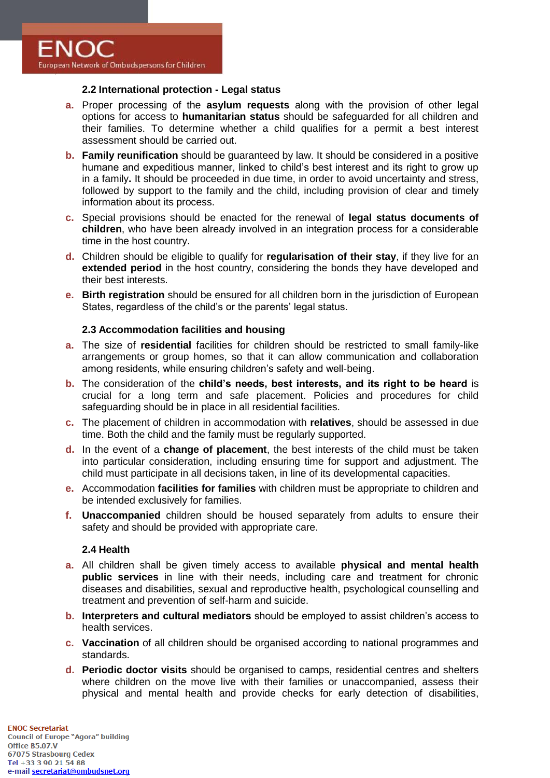

### **2.2 International protection - Legal status**

- **a.** Proper processing of the **asylum requests** along with the provision of other legal options for access to **humanitarian status** should be safeguarded for all children and their families. To determine whether a child qualifies for a permit a best interest assessment should be carried out.
- **b. Family reunification** should be guaranteed by law. It should be considered in a positive humane and expeditious manner, linked to child's best interest and its right to grow up in a family**.** It should be proceeded in due time, in order to avoid uncertainty and stress, followed by support to the family and the child, including provision of clear and timely information about its process.
- **c.** Special provisions should be enacted for the renewal of **legal status documents of children**, who have been already involved in an integration process for a considerable time in the host country.
- **d.** Children should be eligible to qualify for **regularisation of their stay**, if they live for an **extended period** in the host country, considering the bonds they have developed and their best interests.
- **e. Birth registration** should be ensured for all children born in the jurisdiction of European States, regardless of the child's or the parents' legal status.

## **2.3 Accommodation facilities and housing**

- **a.** The size of **residential** facilities for children should be restricted to small family-like arrangements or group homes, so that it can allow communication and collaboration among residents, while ensuring children's safety and well-being.
- **b.** The consideration of the **child's needs, best interests, and its right to be heard** is crucial for a long term and safe placement. Policies and procedures for child safeguarding should be in place in all residential facilities.
- **c.** The placement of children in accommodation with **relatives**, should be assessed in due time. Both the child and the family must be regularly supported.
- **d.** In the event of a **change of placement**, the best interests of the child must be taken into particular consideration, including ensuring time for support and adjustment. The child must participate in all decisions taken, in line of its developmental capacities.
- **e.** Accommodation **facilities for families** with children must be appropriate to children and be intended exclusively for families.
- **f. Unaccompanied** children should be housed separately from adults to ensure their safety and should be provided with appropriate care.

### **2.4 Health**

- **a.** All children shall be given timely access to available **physical and mental health public services** in line with their needs, including care and treatment for chronic diseases and disabilities, sexual and reproductive health, psychological counselling and treatment and prevention of self-harm and suicide.
- **b. Interpreters and cultural mediators** should be employed to assist children's access to health services.
- **c. Vaccination** of all children should be organised according to national programmes and standards.
- **d. Periodic doctor visits** should be organised to camps, residential centres and shelters where children on the move live with their families or unaccompanied, assess their physical and mental health and provide checks for early detection of disabilities,

**FNOC Secretariat Council of Europe "Agora" building** Office B5.07.V 67075 Strasbourg Cedex Tel +33 3 90 21 54 88 e-mail secretariat@ombudsnet.org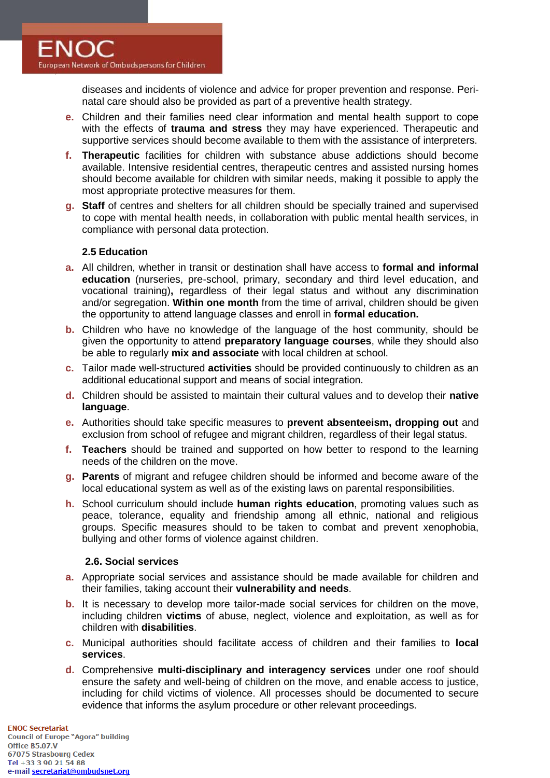

diseases and incidents of violence and advice for proper prevention and response. Perinatal care should also be provided as part of a preventive health strategy.

- **e.** Children and their families need clear information and mental health support to cope with the effects of **trauma and stress** they may have experienced. Therapeutic and supportive services should become available to them with the assistance of interpreters.
- **f. Therapeutic** facilities for children with substance abuse addictions should become available. Intensive residential centres, therapeutic centres and assisted nursing homes should become available for children with similar needs, making it possible to apply the most appropriate protective measures for them.
- **g. Staff** of centres and shelters for all children should be specially trained and supervised to cope with mental health needs, in collaboration with public mental health services, in compliance with personal data protection.

## **2.5 Education**

- **a.** All children, whether in transit or destination shall have access to **formal and informal education** (nurseries, pre-school, primary, secondary and third level education, and vocational training)**,** regardless of their legal status and without any discrimination and/or segregation. **Within one month** from the time of arrival, children should be given the opportunity to attend language classes and enroll in **formal education.**
- **b.** Children who have no knowledge of the language of the host community, should be given the opportunity to attend **preparatory language courses**, while they should also be able to regularly **mix and associate** with local children at school.
- **c.** Tailor made well-structured **activities** should be provided continuously to children as an additional educational support and means of social integration.
- **d.** Children should be assisted to maintain their cultural values and to develop their **native language**.
- **e.** Authorities should take specific measures to **prevent absenteeism, dropping out** and exclusion from school of refugee and migrant children, regardless of their legal status.
- **f. Teachers** should be trained and supported on how better to respond to the learning needs of the children on the move.
- **g. Parents** of migrant and refugee children should be informed and become aware of the local educational system as well as of the existing laws on parental responsibilities.
- **h.** School curriculum should include **human rights education**, promoting values such as peace, tolerance, equality and friendship among all ethnic, national and religious groups. Specific measures should to be taken to combat and prevent xenophobia, bullying and other forms of violence against children.

#### **2.6. Social services**

- **a.** Appropriate social services and assistance should be made available for children and their families, taking account their **vulnerability and needs**.
- **b.** It is necessary to develop more tailor-made social services for children on the move, including children **victims** of abuse, neglect, violence and exploitation, as well as for children with **disabilities**.
- **c.** Municipal authorities should facilitate access of children and their families to **local services**.
- **d.** Comprehensive **multi-disciplinary and interagency services** under one roof should ensure the safety and well-being of children on the move, and enable access to justice, including for child victims of violence. All processes should be documented to secure evidence that informs the asylum procedure or other relevant proceedings.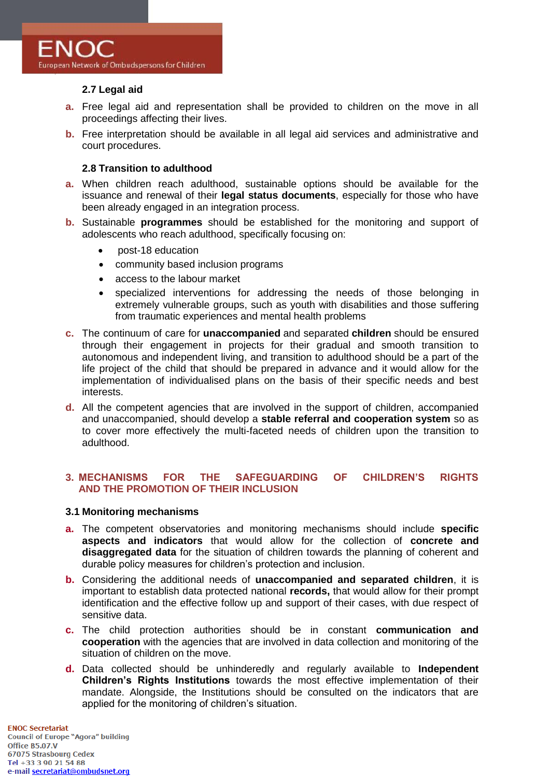# **2.7 Legal aid**

- **a.** Free legal aid and representation shall be provided to children on the move in all proceedings affecting their lives.
- **b.** Free interpretation should be available in all legal aid services and administrative and court procedures.

### **2.8 Transition to adulthood**

- **a.** When children reach adulthood, sustainable options should be available for the issuance and renewal of their **legal status documents**, especially for those who have been already engaged in an integration process.
- **b.** Sustainable **programmes** should be established for the monitoring and support of adolescents who reach adulthood, specifically focusing on:
	- post-18 education
	- community based inclusion programs
	- access to the labour market
	- specialized interventions for addressing the needs of those belonging in extremely vulnerable groups, such as youth with disabilities and those suffering from traumatic experiences and mental health problems
- **c.** The continuum of care for **unaccompanied** and separated **children** should be ensured through their engagement in projects for their gradual and smooth transition to autonomous and independent living, and transition to adulthood should be a part of the life project of the child that should be prepared in advance and it would allow for the implementation of individualised plans on the basis of their specific needs and best interests.
- **d.** All the competent agencies that are involved in the support of children, accompanied and unaccompanied, should develop a **stable referral and cooperation system** so as to cover more effectively the multi-faceted needs of children upon the transition to adulthood.

## **3. MECHANISMS FOR THE SAFEGUARDING OF CHILDREN'S RIGHTS AND THE PROMOTION OF THEIR INCLUSION**

#### **3.1 Monitoring mechanisms**

- **a.** The competent observatories and monitoring mechanisms should include **specific aspects and indicators** that would allow for the collection of **concrete and disaggregated data** for the situation of children towards the planning of coherent and durable policy measures for children's protection and inclusion.
- **b.** Considering the additional needs of **unaccompanied and separated children**, it is important to establish data protected national **records,** that would allow for their prompt identification and the effective follow up and support of their cases, with due respect of sensitive data.
- **c.** The child protection authorities should be in constant **communication and cooperation** with the agencies that are involved in data collection and monitoring of the situation of children on the move.
- **d.** Data collected should be unhinderedly and regularly available to **Independent Children's Rights Institutions** towards the most effective implementation of their mandate. Alongside, the Institutions should be consulted on the indicators that are applied for the monitoring of children's situation.